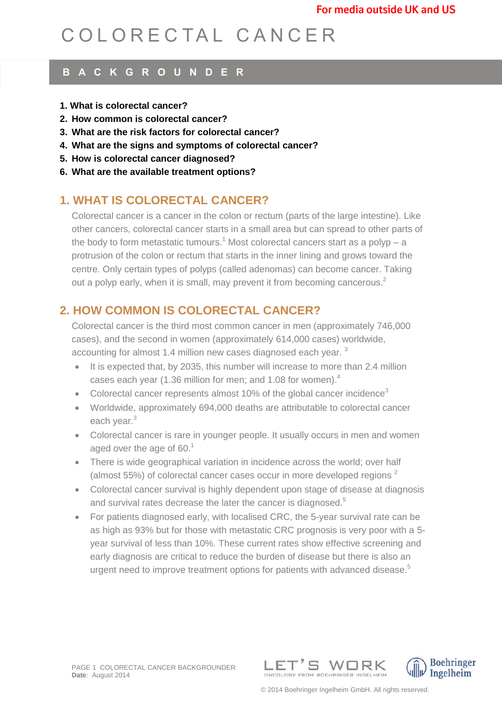# C O L O R E C T A L C A N C E R

## **B A C K G R O U N D E R**

- **1. What is colorectal cancer?**
- **2. How common is colorectal cancer?**
- **3. What are the risk factors for colorectal cancer?**
- **4. What are the signs and symptoms of colorectal cancer?**
- **5. How is colorectal cancer diagnosed?**
- **6. What are the available treatment options?**

# **1. WHAT IS COLORECTAL CANCER?**

Colorectal cancer is a cancer in the colon or rectum (parts of the large intestine). Like other cancers, colorectal cancer starts in a small area but can spread to other parts of the body to form metastatic tumours.<sup>1</sup> Most colorectal cancers start as a polyp  $- a$ protrusion of the colon or rectum that starts in the inner lining and grows toward the centre. Only certain types of polyps (called adenomas) can become cancer. Taking out a polyp early, when it is small, may prevent it from becoming cancerous.<sup>2</sup>

# **2. HOW COMMON IS COLORECTAL CANCER?**

Colorectal cancer is the third most common cancer in men (approximately 746,000 cases), and the second in women (approximately 614,000 cases) worldwide, accounting for almost 1.4 million new cases diagnosed each year.<sup>3</sup>

- <span id="page-0-0"></span> $\bullet$  It is expected that, by 2035, this number will increase to more than 2.4 million cases each year (1.36 million for men; and 1.08 for women).<sup>4</sup>
- Color[e](#page-0-0)ctal cancer represents almost 10% of the global cancer incidence<sup>3</sup>
- Worldwide, approximately 694,000 deaths are attributable to colorectal cancer each year[.](#page-0-0)<sup>3</sup>
- Colorectal cancer is rare in younger people. It usually occurs in men and women aged over the age of  $60<sup>1</sup>$
- There is wide geographical variation in incidence across the world; over half (almost 55%) of colorectal cancer cases occur in more developed regions  $2$
- Colorectal cancer survival is highly dependent upon stage of disease at diagnosis and survival rates decrease the later the cancer is diagnosed.<sup>5</sup>
- For patients diagnosed early, with localised CRC, the 5-year survival rate can be as high as 93% but for those with metastatic CRC prognosis is very poor with a 5 year survival of less than 10%. These current rates show effective screening and early diagnosis are critical to reduce the burden of disease but there is also an urgent need to improve treatment options for patients with advanced disease.<sup>5</sup>



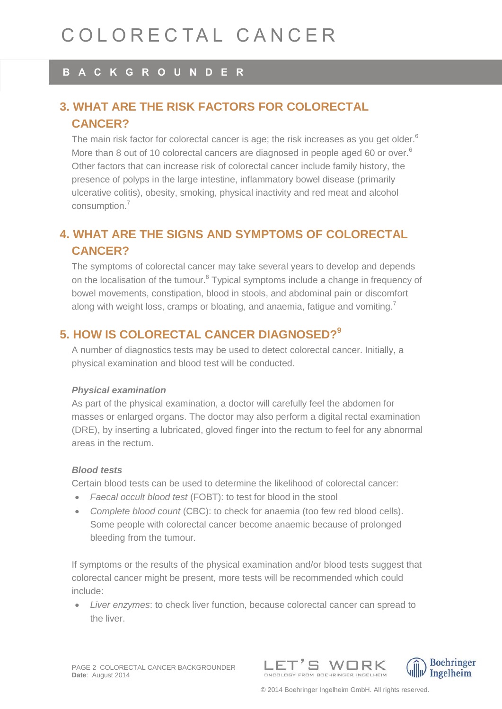## **B A C K G R O U N D E R**

# **3. WHAT ARE THE RISK FACTORS FOR COLORECTAL CANCER?**

The main risk factor for colorectal cancer is age; the risk increases as you get older. $6$ More than 8 out of 10 colorectal cancers are diagnosed in people aged 60 or over.<sup>6</sup> Other factors that can increase risk of colorectal cancer include family history, the presence of polyps in the large intestine, inflammatory bowel disease (primarily ulcerative colitis), obesity, smoking, physical inactivity and red meat and alcohol consumption. 7

# **4. WHAT ARE THE SIGNS AND SYMPTOMS OF COLORECTAL CANCER?**

The symptoms of colorectal cancer may take several years to develop and depends on the localisation of the tumour.<sup>8</sup> Typical symptoms include a change in frequency of bowel movements, constipation, blood in stools, and abdominal pain or discomfort along with weight loss, cramps or bloating, and anaemia, fatigue and vomiting.<sup>7</sup>

## **5. HOW IS COLORECTAL CANCER DIAGNOSED?<sup>9</sup>**

A number of diagnostics tests may be used to detect colorectal cancer. Initially, a physical examination and blood test will be conducted.

#### *Physical examination*

As part of the physical examination, a doctor will carefully feel the abdomen for masses or enlarged organs. The doctor may also perform a digital rectal examination (DRE), by inserting a lubricated, gloved finger into the rectum to feel for any abnormal areas in the rectum.

#### *Blood tests*

Certain blood tests can be used to determine the likelihood of colorectal cancer:

- *Faecal occult blood test* (FOBT): to test for blood in the stool
- *Complete blood count* (CBC): to check for anaemia (too few red blood cells). Some people with colorectal cancer become anaemic because of prolonged bleeding from the tumour.

If symptoms or the results of the physical examination and/or blood tests suggest that colorectal cancer might be present, more tests will be recommended which could include:

 *Liver enzymes*: to check liver function, because colorectal cancer can spread to the liver.



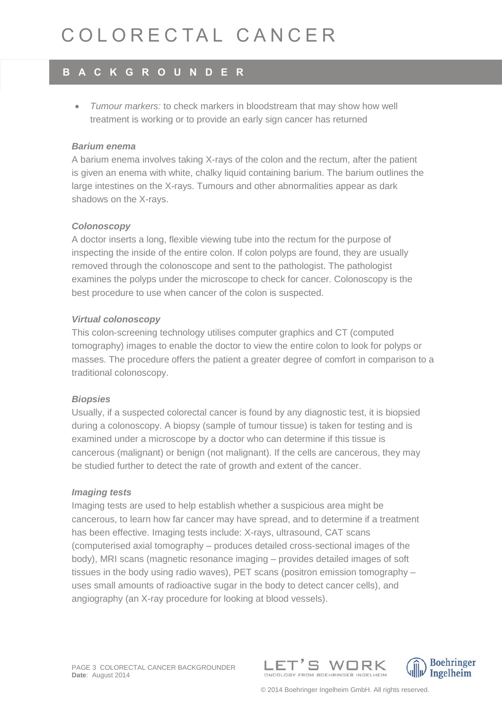# COI ORECTAL CANCER

# **B A C K G R O U N D E R**

 *Tumour markers:* to check markers in bloodstream that may show how well treatment is working or to provide an early sign cancer has returned

#### *Barium enema*

A barium enema involves taking X-rays of the colon and the rectum, after the patient is given an enema with white, chalky liquid containing barium. The barium outlines the large intestines on the X-rays. Tumours and other abnormalities appear as dark shadows on the X-rays.

#### *Colonoscopy*

A doctor inserts a long, flexible viewing tube into the rectum for the purpose of inspecting the inside of the entire colon. If colon polyps are found, they are usually removed through the colonoscope and sent to the pathologist. The pathologist examines the polyps under the microscope to check for cancer. Colonoscopy is the best procedure to use when cancer of the colon is suspected.

#### *Virtual colonoscopy*

This colon-screening technology utilises computer graphics and CT (computed tomography) images to enable the doctor to view the entire colon to look for polyps or masses. The procedure offers the patient a greater degree of comfort in comparison to a traditional colonoscopy.

#### *Biopsies*

Usually, if a suspected colorectal cancer is found by any diagnostic test, it is biopsied during a colonoscopy. A biopsy (sample of tumour tissue) is taken for testing and is examined under a microscope by a doctor who can determine if this tissue is cancerous (malignant) or benign (not malignant). If the cells are cancerous, they may be studied further to detect the rate of growth and extent of the cancer.

#### *Imaging tests*

Imaging tests are used to help establish whether a suspicious area might be cancerous, to learn how far cancer may have spread, and to determine if a treatment has been effective. Imaging tests include: X-rays, ultrasound, CAT scans (computerised axial tomography – produces detailed cross-sectional images of the body), MRI scans (magnetic resonance imaging – provides detailed images of soft tissues in the body using radio waves), PET scans (positron emission tomography – uses small amounts of radioactive sugar in the body to detect cancer cells), and angiography (an X-ray procedure for looking at blood vessels).





© 2014 Boehringer Ingelheim GmbH. All rights reserved.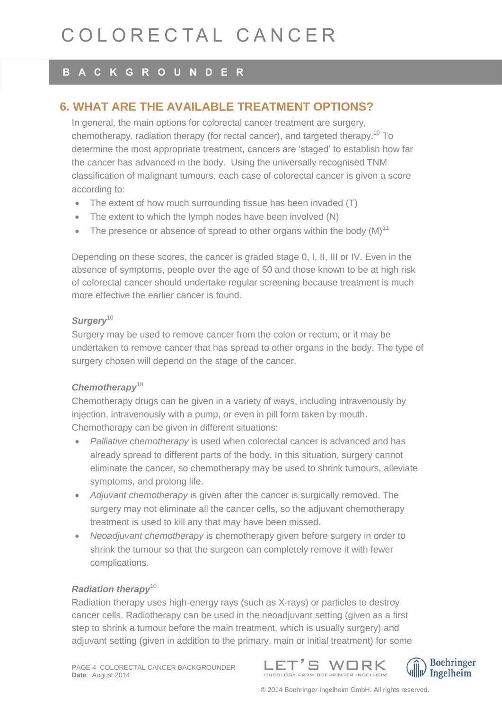# COI ORECTAL CANCER

### **B A C K G R O U N D E R**

## **6. WHAT ARE THE AVAILABLE TREATMENT OPTIONS?**

<span id="page-3-0"></span>In general, the main options for colorectal cancer treatment are surgery. chemotherapy, radiation therapy (for rectal cancer), and targeted therapy.<sup>10</sup> To determine the most appropriate treatment, cancers are 'staged' to establish how far the cancer has advanced in the body. Using the universally recognised TNM classification of malignant tumours, each case of colorectal cancer is given a score according to:

- The extent of how much surrounding tissue has been invaded (T)
- The extent to which the lymph nodes have been involved (N)
- The presence or absence of spread to other organs within the body  $(M)^{11}$

Depending on these scores, the cancer is graded stage 0, I, II, III or IV. Even in the absence of symptoms, people over the age of 50 and those known to be at high risk of colorectal cancer should undertake regular screening because treatment is much more effective the earlier cancer is found.

#### *Surgery*[10](#page-3-0)

Surgery may be used to remove cancer from the colon or rectum; or it may be undertaken to remove cancer that has spread to other organs in the body. The type of surgery chosen will depend on the stage of the cancer.

#### *Chemotherapy*[10](#page-3-0)

Chemotherapy drugs can be given in a variety of ways, including intravenously by injection, intravenously with a pump, or even in pill form taken by mouth. Chemotherapy can be given in different situations:

- *Palliative chemotherapy* is used when colorectal cancer is advanced and has already spread to different parts of the body. In this situation, surgery cannot eliminate the cancer, so chemotherapy may be used to shrink tumours, alleviate symptoms, and prolong life.
- *Adjuvant chemotherapy* is given after the cancer is surgically removed. The surgery may not eliminate all the cancer cells, so the adjuvant chemotherapy treatment is used to kill any that may have been missed.
- *Neoadjuvant chemotherapy* is chemotherapy given before surgery in order to shrink the tumour so that the surgeon can completely remove it with fewer complications.

#### *Radiation therapy*[10](#page-3-0)

Radiation therapy uses high-energy rays (such as X-rays) or particles to destroy cancer cells. Radiotherapy can be used in the [neoadjuvant](http://en.wikipedia.org/wiki/Neoadjuvant_therapy) setting (given as a first step to shrink a tumour before the main treatment, which is usually surgery) and [adjuvant](http://en.wikipedia.org/wiki/Adjuvant_therapy) setting (given in addition to the primary, main or initial treatment) for some





© 2014 Boehringer Ingelheim GmbH. All rights reserved.